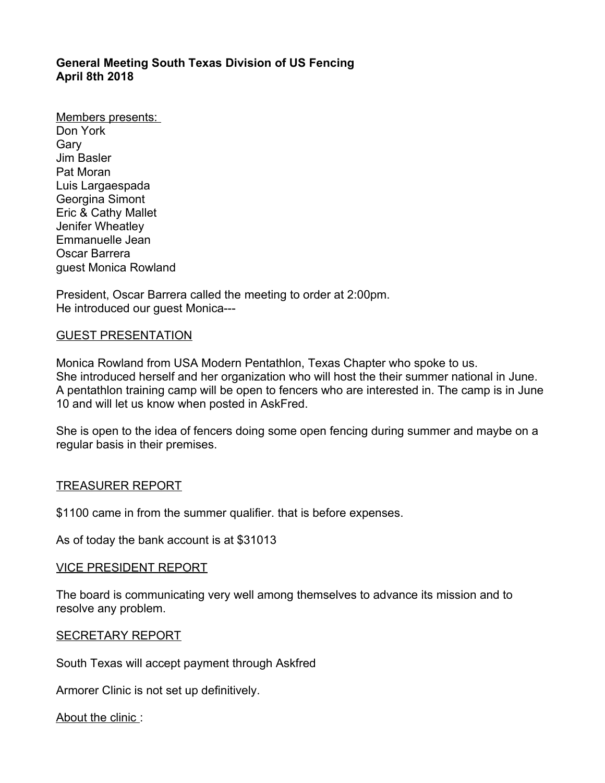# **General Meeting South Texas Division of US Fencing April 8th 2018**

Members presents: Don York Gary Jim Basler Pat Moran Luis Largaespada Georgina Simont Eric & Cathy Mallet Jenifer Wheatley Emmanuelle Jean Oscar Barrera guest Monica Rowland

President, Oscar Barrera called the meeting to order at 2:00pm. He introduced our guest Monica---

### GUEST PRESENTATION

Monica Rowland from USA Modern Pentathlon, Texas Chapter who spoke to us. She introduced herself and her organization who will host the their summer national in June. A pentathlon training camp will be open to fencers who are interested in. The camp is in June 10 and will let us know when posted in AskFred.

She is open to the idea of fencers doing some open fencing during summer and maybe on a regular basis in their premises.

#### TREASURER REPORT

\$1100 came in from the summer qualifier. that is before expenses.

As of today the bank account is at \$31013

### VICE PRESIDENT REPORT

The board is communicating very well among themselves to advance its mission and to resolve any problem.

#### SECRETARY REPORT

South Texas will accept payment through Askfred

Armorer Clinic is not set up definitively.

About the clinic :